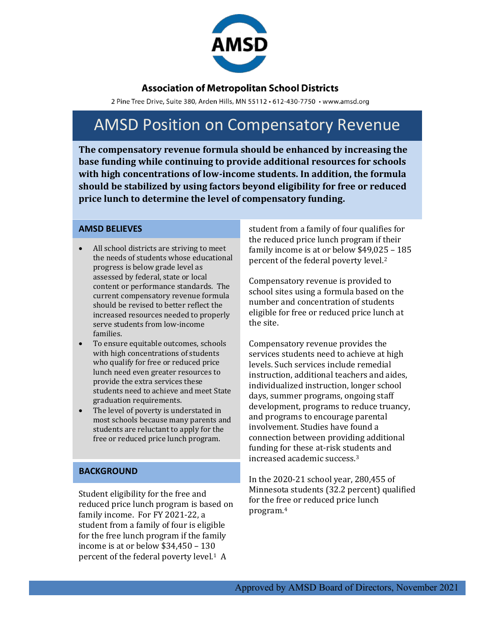

### **Association of Metropolitan School Districts**

2 Pine Tree Drive, Suite 380, Arden Hills, MN 55112 · 612-430-7750 · www.amsd.org

# AMSD Position on Compensatory Revenue

**The compensatory revenue formula should be enhanced by increasing the base funding while continuing to provide additional resources for schools with high concentrations of low-income students. In addition, the formula should be stabilized by using factors beyond eligibility for free or reduced price lunch to determine the level of compensatory funding.** 

#### **AMSD BELIEVES**

- All school districts are striving to meet the needs of students whose educational progress is below grade level as assessed by federal, state or local content or performance standards. The current compensatory revenue formula should be revised to better reflect the increased resources needed to properly serve students from low-income families.
- To ensure equitable outcomes, schools with high concentrations of students who qualify for free or reduced price lunch need even greater resources to provide the extra services these students need to achieve and meet State graduation requirements.
- The level of poverty is understated in most schools because many parents and students are reluctant to apply for the free or reduced price lunch program.

#### **BACKGROUND**

Student eligibility for the free and reduced price lunch program is based on family income. For FY 2021-22, a student from a family of four is eligible for the free lunch program if the family income is at or below \$34,450 – 130 percent of the federal poverty level.1 A

student from a family of four qualifies for the reduced price lunch program if their family income is at or below \$49,025 – 185 percent of the federal poverty level.2

Compensatory revenue is provided to school sites using a formula based on the number and concentration of students eligible for free or reduced price lunch at the site.

Compensatory revenue provides the services students need to achieve at high levels. Such services include remedial instruction, additional teachers and aides, individualized instruction, longer school days, summer programs, ongoing staff development, programs to reduce truancy, and programs to encourage parental involvement. Studies have found a connection between providing additional funding for these at-risk students and increased academic success. 3

In the 2020-21 school year, 280,455 of Minnesota students (32.2 percent) qualified for the free or reduced price lunch program.4